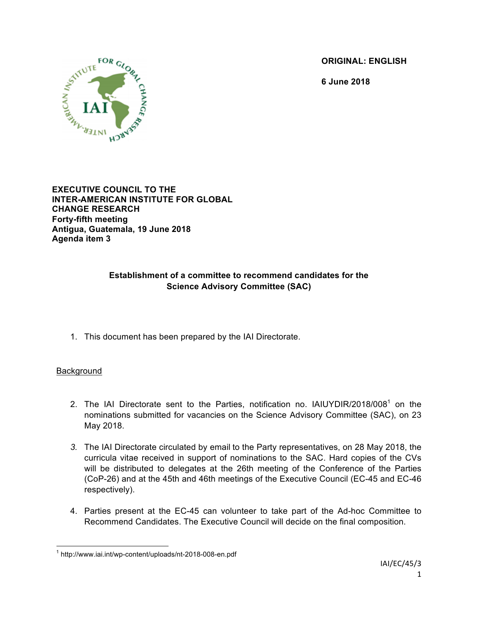**ORIGINAL: ENGLISH**

**6 June 2018**



**EXECUTIVE COUNCIL TO THE INTER-AMERICAN INSTITUTE FOR GLOBAL CHANGE RESEARCH Forty-fifth meeting Antigua, Guatemala, 19 June 2018 Agenda item 3**

## **Establishment of a committee to recommend candidates for the Science Advisory Committee (SAC)**

1. This document has been prepared by the IAI Directorate.

### Background

- 2. The IAI Directorate sent to the Parties, notification no. IAIUYDIR/2018/008<sup>1</sup> on the nominations submitted for vacancies on the Science Advisory Committee (SAC), on 23 May 2018.
- *3.* The IAI Directorate circulated by email to the Party representatives, on 28 May 2018, the curricula vitae received in support of nominations to the SAC. Hard copies of the CVs will be distributed to delegates at the 26th meeting of the Conference of the Parties (CoP-26) and at the 45th and 46th meetings of the Executive Council (EC-45 and EC-46 respectively).
- 4. Parties present at the EC-45 can volunteer to take part of the Ad-hoc Committee to Recommend Candidates. The Executive Council will decide on the final composition.

 <sup>1</sup> http://www.iai.int/wp-content/uploads/nt-2018-008-en.pdf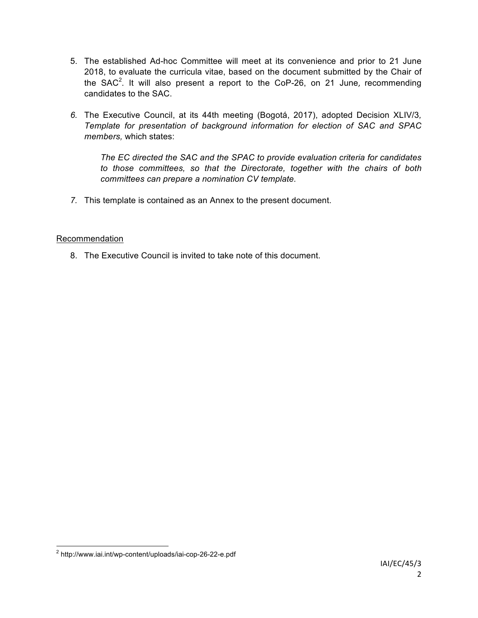- 5. The established Ad-hoc Committee will meet at its convenience and prior to 21 June 2018, to evaluate the curricula vitae, based on the document submitted by the Chair of the SAC<sup>2</sup>. It will also present a report to the CoP-26, on 21 June, recommending candidates to the SAC.
- *6.* The Executive Council, at its 44th meeting (Bogotá, 2017), adopted Decision XLIV/3*, Template for presentation of background information for election of SAC and SPAC members,* which states:

*The EC directed the SAC and the SPAC to provide evaluation criteria for candidates to those committees, so that the Directorate, together with the chairs of both committees can prepare a nomination CV template.*

*7.* This template is contained as an Annex to the present document.

### Recommendation

8. The Executive Council is invited to take note of this document.

 <sup>2</sup> http://www.iai.int/wp-content/uploads/iai-cop-26-22-e.pdf